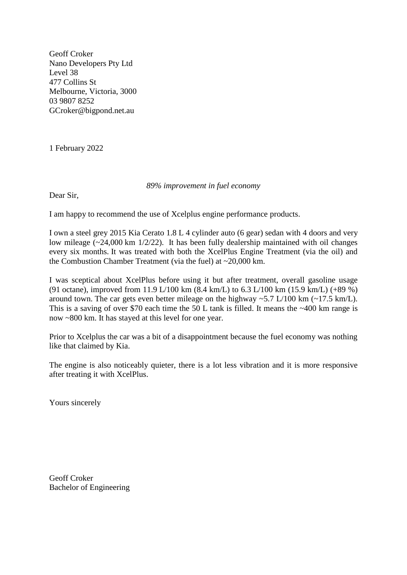Geoff Croker Nano Developers Pty Ltd Level 38 477 Collins St Melbourne, Victoria, 3000 03 9807 8252 GCroker@bigpond.net.au

1 February 2022

## *89% improvement in fuel economy*

Dear Sir,

I am happy to recommend the use of Xcelplus engine performance products.

I own a steel grey 2015 Kia Cerato 1.8 L 4 cylinder auto (6 gear) sedan with 4 doors and very low mileage (~24,000 km 1/2/22). It has been fully dealership maintained with oil changes every six months. It was treated with both the XcelPlus Engine Treatment (via the oil) and the Combustion Chamber Treatment (via the fuel) at  $\sim$ 20,000 km.

I was sceptical about XcelPlus before using it but after treatment, overall gasoline usage (91 octane), improved from 11.9 L/100 km (8.4 km/L) to 6.3 L/100 km (15.9 km/L) (+89 %) around town. The car gets even better mileage on the highway  $\sim$  5.7 L/100 km ( $\sim$ 17.5 km/L). This is a saving of over \$70 each time the 50 L tank is filled. It means the  $\sim$ 400 km range is now ~800 km. It has stayed at this level for one year.

Prior to Xcelplus the car was a bit of a disappointment because the fuel economy was nothing like that claimed by Kia.

The engine is also noticeably quieter, there is a lot less vibration and it is more responsive after treating it with XcelPlus.

Yours sincerely

Geoff Croker Bachelor of Engineering